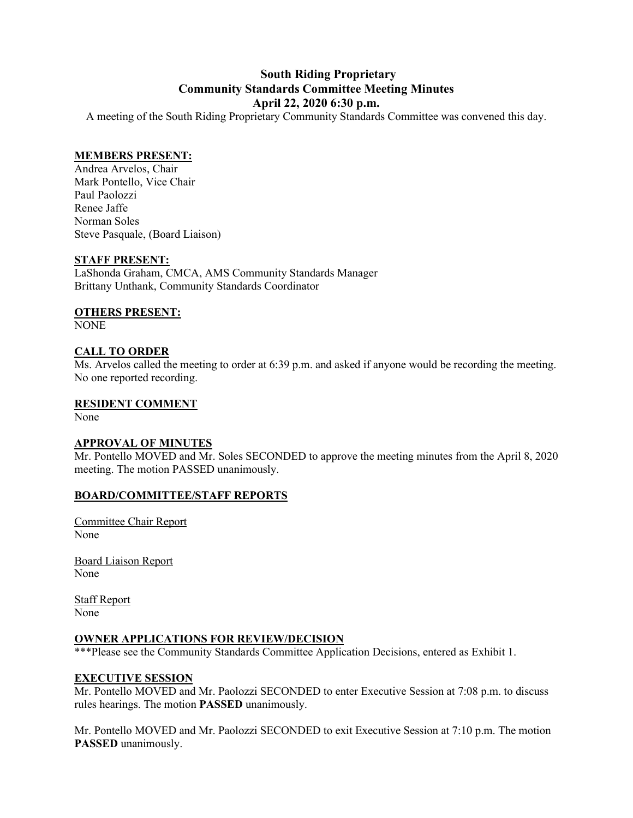## **South Riding Proprietary Community Standards Committee Meeting Minutes April 22, 2020 6:30 p.m.**

A meeting of the South Riding Proprietary Community Standards Committee was convened this day.

### **MEMBERS PRESENT:**

Andrea Arvelos, Chair Mark Pontello, Vice Chair Paul Paolozzi Renee Jaffe Norman Soles Steve Pasquale, (Board Liaison)

#### **STAFF PRESENT:**

LaShonda Graham, CMCA, AMS Community Standards Manager Brittany Unthank, Community Standards Coordinator

## **OTHERS PRESENT:**

NONE

## **CALL TO ORDER**

Ms. Arvelos called the meeting to order at 6:39 p.m. and asked if anyone would be recording the meeting. No one reported recording.

## **RESIDENT COMMENT**

None

### **APPROVAL OF MINUTES**

Mr. Pontello MOVED and Mr. Soles SECONDED to approve the meeting minutes from the April 8, 2020 meeting. The motion PASSED unanimously.

### **BOARD/COMMITTEE/STAFF REPORTS**

Committee Chair Report None

Board Liaison Report None

Staff Report None

## **OWNER APPLICATIONS FOR REVIEW/DECISION**

\*\*\*Please see the Community Standards Committee Application Decisions, entered as Exhibit 1.

### **EXECUTIVE SESSION**

Mr. Pontello MOVED and Mr. Paolozzi SECONDED to enter Executive Session at 7:08 p.m. to discuss rules hearings. The motion **PASSED** unanimously.

Mr. Pontello MOVED and Mr. Paolozzi SECONDED to exit Executive Session at 7:10 p.m. The motion **PASSED** unanimously.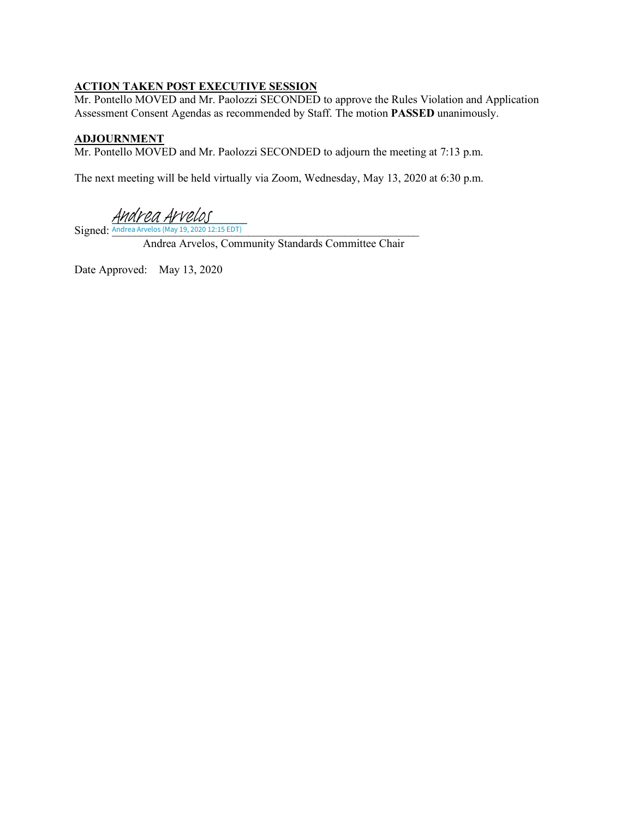## **ACTION TAKEN POST EXECUTIVE SESSION**

Mr. Pontello MOVED and Mr. Paolozzi SECONDED to approve the Rules Violation and Application Assessment Consent Agendas as recommended by Staff. The motion **PASSED** unanimously.

## **ADJOURNMENT**

Mr. Pontello MOVED and Mr. Paolozzi SECONDED to adjourn the meeting at 7:13 p.m.

The next meeting will be held virtually via Zoom, Wednesday, May 13, 2020 at 6:30 p.m.

Andrea Arvelos

Signed: Andrea Arvelos (May 19, 2020 12:15 EDT)

Andrea Arvelos, Community Standards Committee Chair

Date Approved: May 13, 2020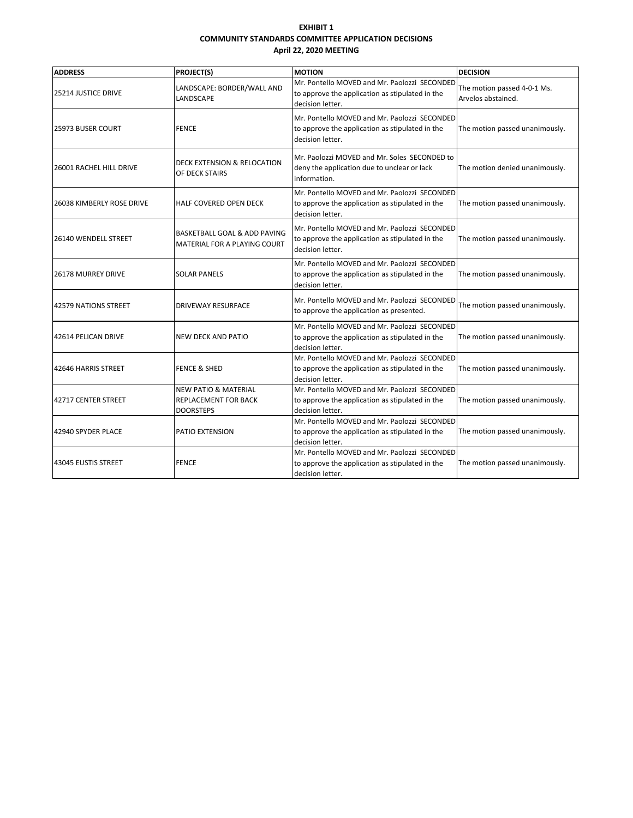#### **EXHIBIT 1 COMMUNITY STANDARDS COMMITTEE APPLICATION DECISIONS April 22, 2020 MEETING**

| <b>ADDRESS</b>             | <b>PROJECT(S)</b>                                                                  | <b>MOTION</b>                                                                                                       | <b>DECISION</b>                                   |
|----------------------------|------------------------------------------------------------------------------------|---------------------------------------------------------------------------------------------------------------------|---------------------------------------------------|
| <b>25214 JUSTICE DRIVE</b> | LANDSCAPE: BORDER/WALL AND<br>LANDSCAPE                                            | Mr. Pontello MOVED and Mr. Paolozzi SECONDED<br>to approve the application as stipulated in the<br>decision letter. | The motion passed 4-0-1 Ms.<br>Arvelos abstained. |
| 25973 BUSER COURT          | <b>FENCE</b>                                                                       | Mr. Pontello MOVED and Mr. Paolozzi SECONDED<br>to approve the application as stipulated in the<br>decision letter. | The motion passed unanimously.                    |
| 26001 RACHEL HILL DRIVE    | DECK EXTENSION & RELOCATION<br>OF DECK STAIRS                                      | Mr. Paolozzi MOVED and Mr. Soles SECONDED to<br>deny the application due to unclear or lack<br>information.         | The motion denied unanimously.                    |
| 26038 KIMBERLY ROSE DRIVE  | HALF COVERED OPEN DECK                                                             | Mr. Pontello MOVED and Mr. Paolozzi SECONDED<br>to approve the application as stipulated in the<br>decision letter. | The motion passed unanimously.                    |
| 26140 WENDELL STREET       | <b>BASKETBALL GOAL &amp; ADD PAVING</b><br>MATERIAL FOR A PLAYING COURT            | Mr. Pontello MOVED and Mr. Paolozzi SECONDED<br>to approve the application as stipulated in the<br>decision letter. | The motion passed unanimously.                    |
| <b>26178 MURREY DRIVE</b>  | <b>SOLAR PANELS</b>                                                                | Mr. Pontello MOVED and Mr. Paolozzi SECONDED<br>to approve the application as stipulated in the<br>decision letter. | The motion passed unanimously.                    |
| 42579 NATIONS STREET       | DRIVEWAY RESURFACE                                                                 | Mr. Pontello MOVED and Mr. Paolozzi SECONDED<br>to approve the application as presented.                            | The motion passed unanimously.                    |
| 42614 PELICAN DRIVE        | <b>NEW DECK AND PATIO</b>                                                          | Mr. Pontello MOVED and Mr. Paolozzi SECONDED<br>to approve the application as stipulated in the<br>decision letter. | The motion passed unanimously.                    |
| 42646 HARRIS STREET        | <b>FENCE &amp; SHED</b>                                                            | Mr. Pontello MOVED and Mr. Paolozzi SECONDED<br>to approve the application as stipulated in the<br>decision letter. | The motion passed unanimously.                    |
| 42717 CENTER STREET        | <b>NEW PATIO &amp; MATERIAL</b><br><b>REPLACEMENT FOR BACK</b><br><b>DOORSTEPS</b> | Mr. Pontello MOVED and Mr. Paolozzi SECONDED<br>to approve the application as stipulated in the<br>decision letter. | The motion passed unanimously.                    |
| 42940 SPYDER PLACE         | PATIO EXTENSION                                                                    | Mr. Pontello MOVED and Mr. Paolozzi SECONDED<br>to approve the application as stipulated in the<br>decision letter. | The motion passed unanimously.                    |
| 43045 EUSTIS STREET        | <b>FENCE</b>                                                                       | Mr. Pontello MOVED and Mr. Paolozzi SECONDED<br>to approve the application as stipulated in the<br>decision letter. | The motion passed unanimously.                    |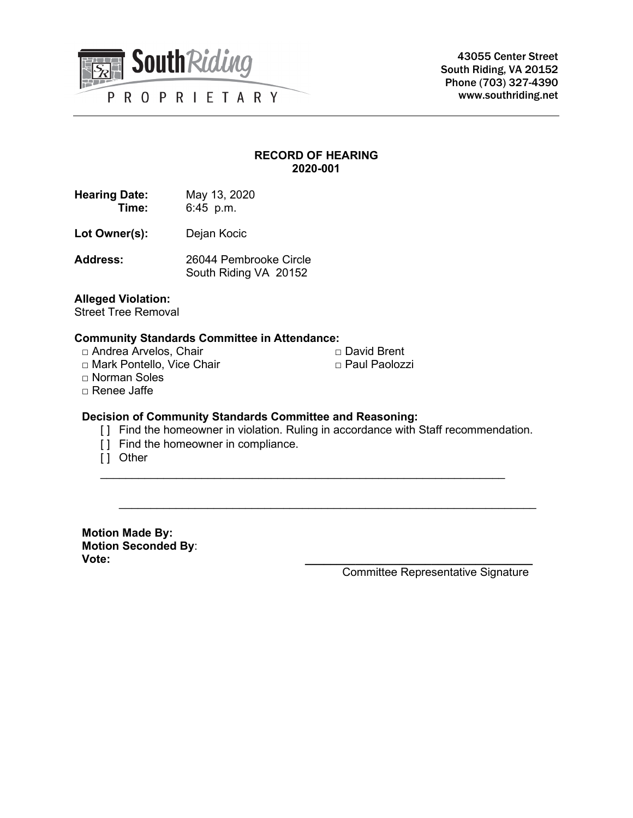

43055 Center Street South Riding, VA 20152 Phone (703) 327-4390 www.southriding.net

## **RECORD OF HEARING 2020-001**

| <b>Hearing Date:</b> | May 13, 2020 |
|----------------------|--------------|
| Time:                | $6:45$ p.m.  |

- Lot Owner(s): Dejan Kocic
- **Address:** 26044 Pembrooke Circle South Riding VA 20152

#### **Alleged Violation:**

Street Tree Removal

#### **Community Standards Committee in Attendance:**

- □ Andrea Arvelos, Chair
- □ Mark Pontello, Vice Chair

□ Norman Soles

□ Renee Jaffe

## **Decision of Community Standards Committee and Reasoning:**

[ ] Find the homeowner in violation. Ruling in accordance with Staff recommendation.

 $\mathcal{L}_\text{max}$  , and the contribution of the contribution of the contribution of the contribution of the contribution of the contribution of the contribution of the contribution of the contribution of the contribution of t

\_\_\_\_\_\_\_\_\_\_\_\_\_\_\_\_\_\_\_\_\_\_\_\_\_\_\_\_\_\_\_\_\_\_\_\_\_\_\_\_\_\_\_\_\_\_\_\_\_\_\_\_\_\_\_\_\_\_\_\_\_\_\_\_

- [ ] Find the homeowner in compliance.
- [ ] Other

**Motion Made By: Motion Seconded By**: **Vote: \_\_\_\_\_\_\_\_\_\_\_\_\_\_\_\_\_\_\_\_\_\_\_\_\_\_\_\_\_\_\_\_\_\_\_\_**

Committee Representative Signature

□ David Brent

□ Paul Paolozzi